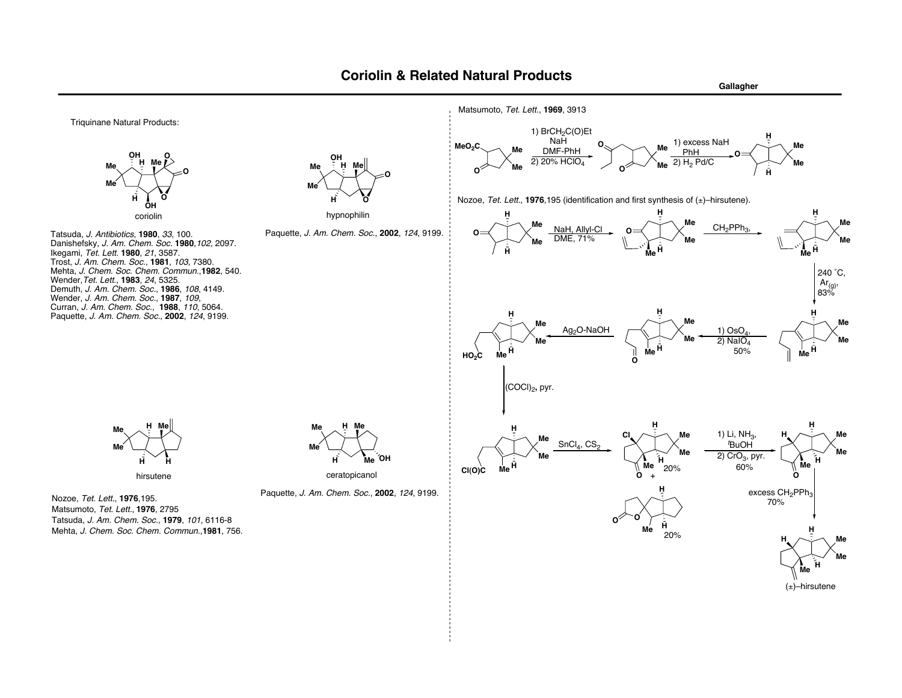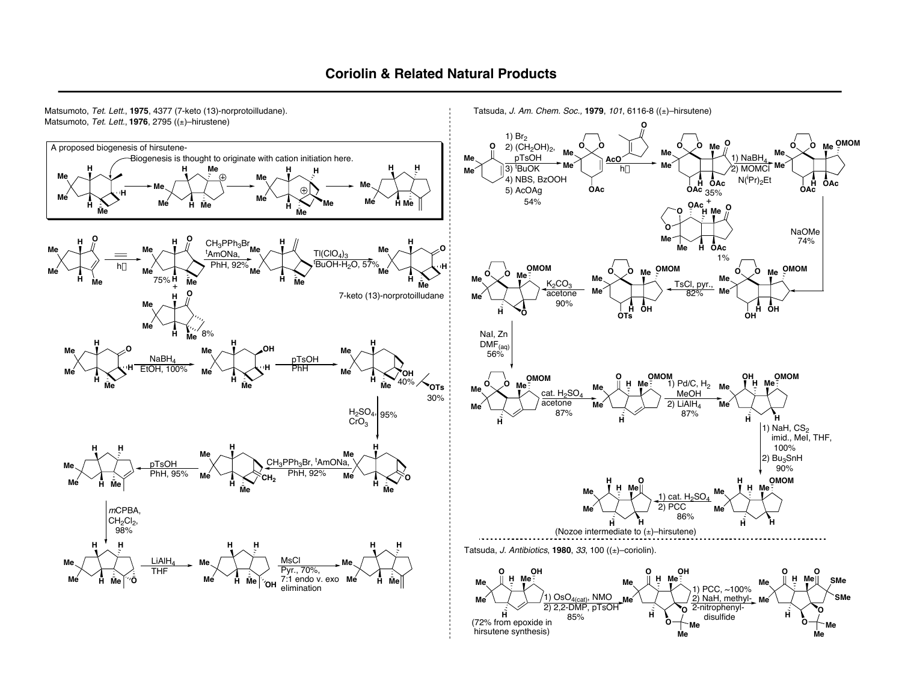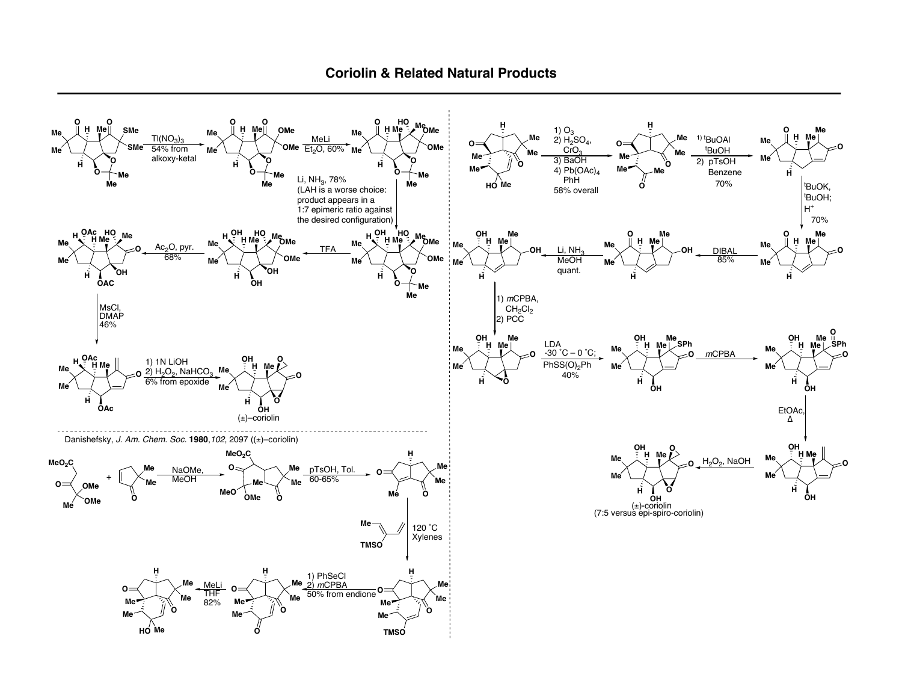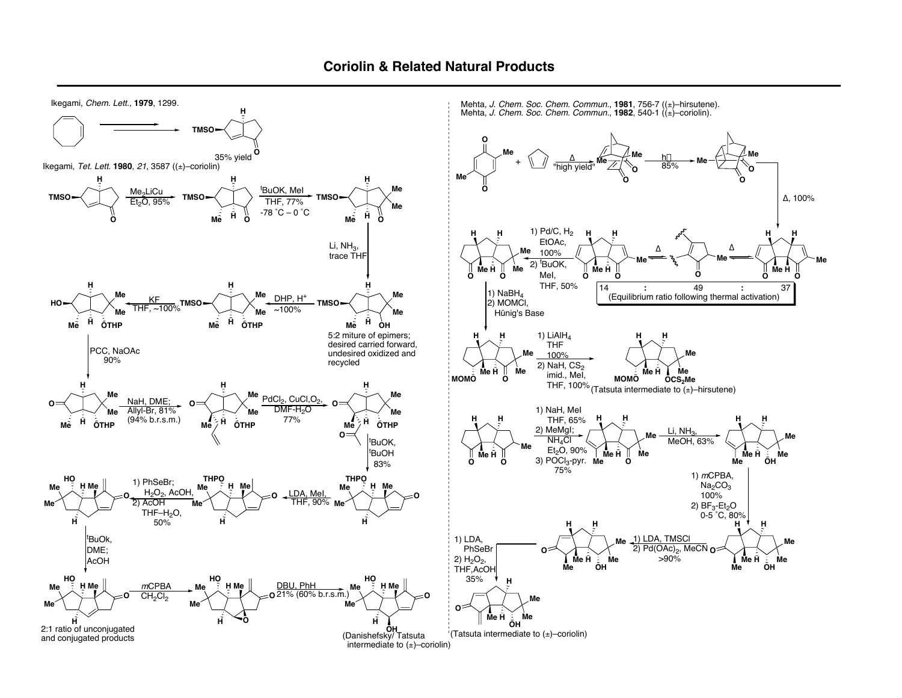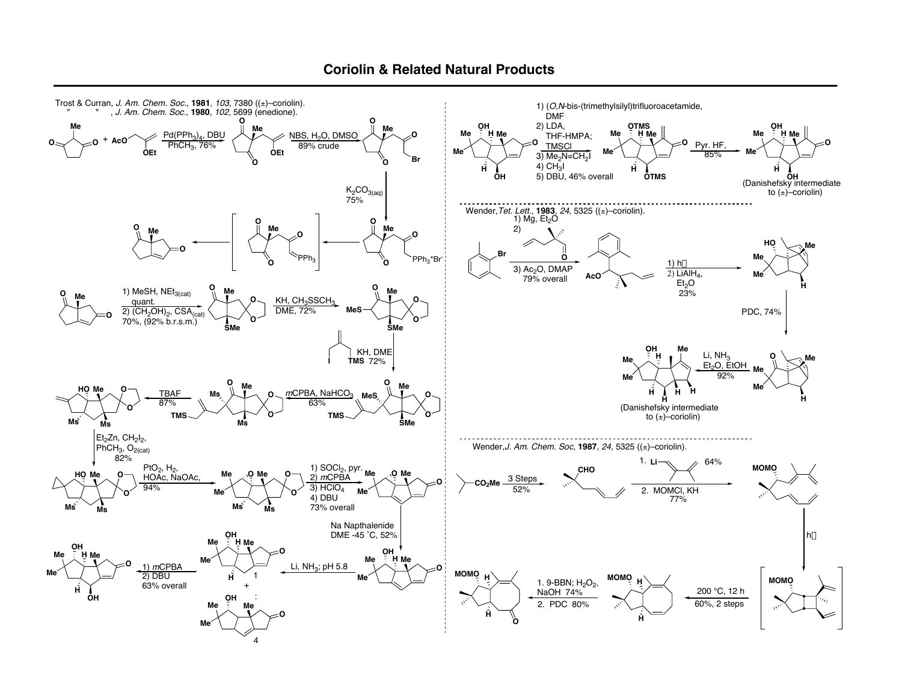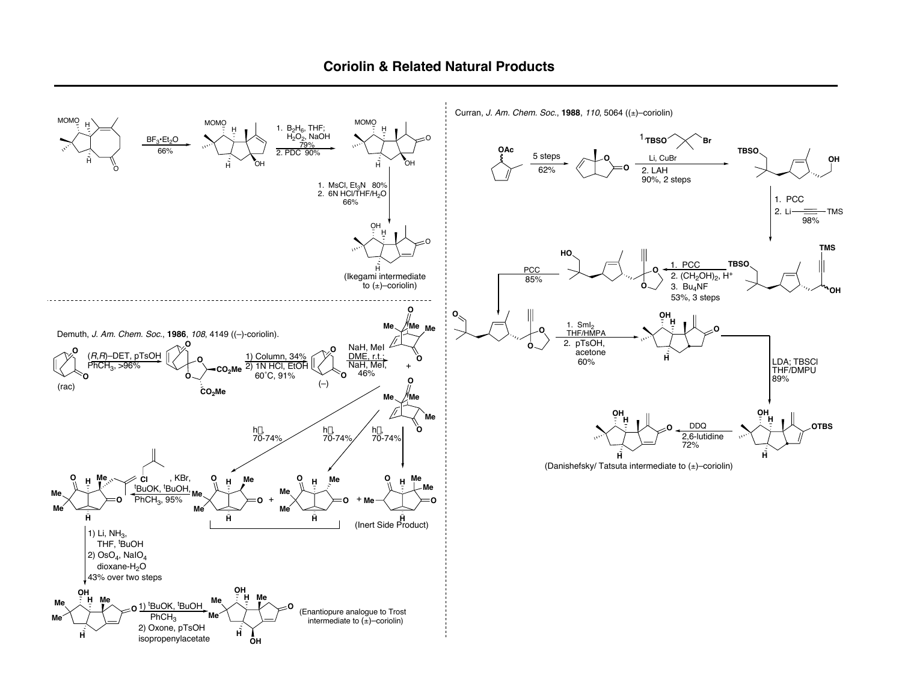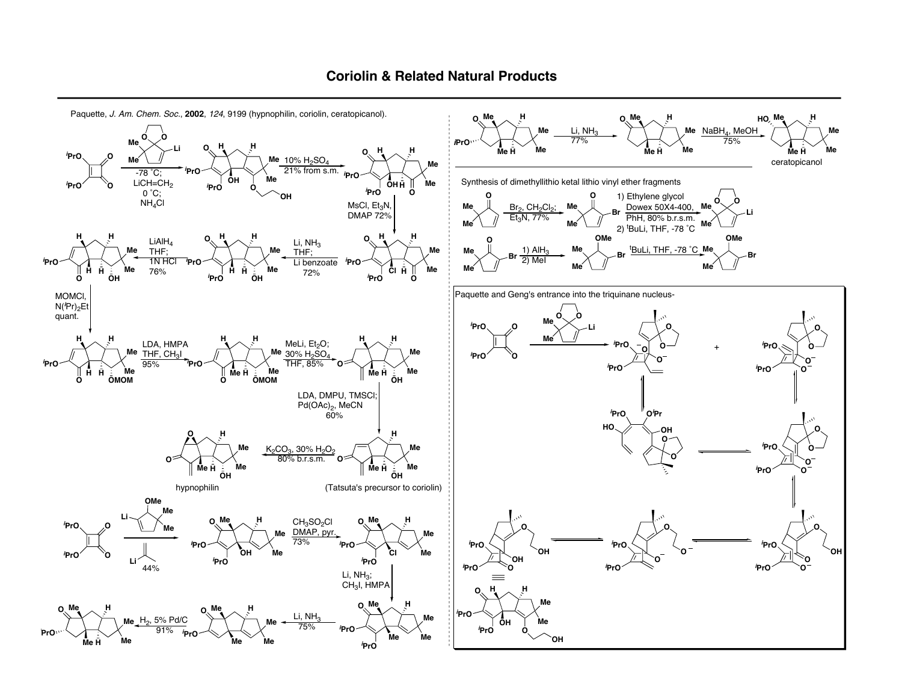